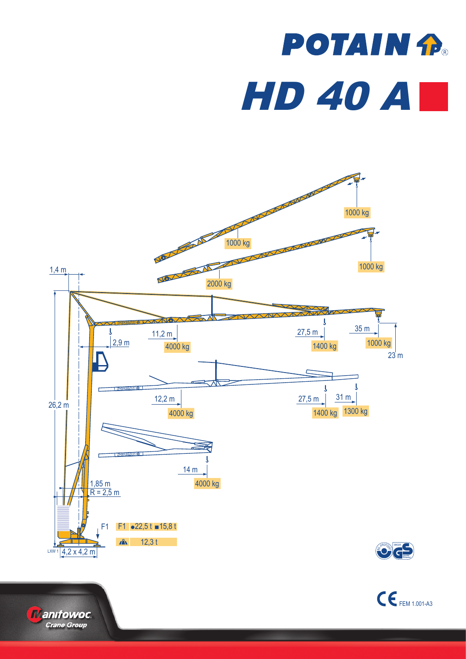## **POTAIN P. HD 40 AL**





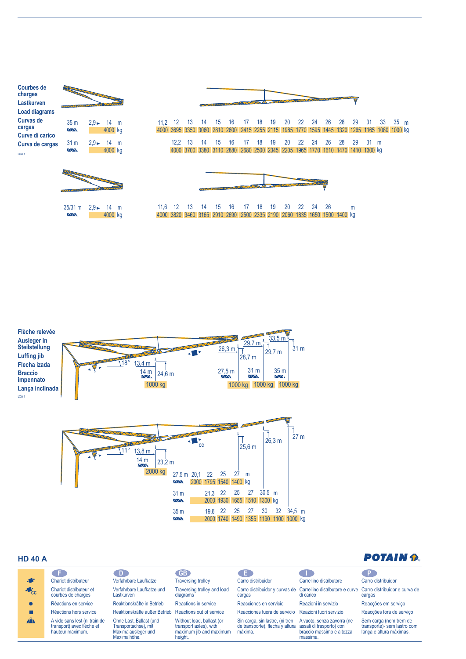| <b>Courbes de</b><br>charges | PARTIES OF THE COMPANY        |                           |                         |  |                       |          |    |
|------------------------------|-------------------------------|---------------------------|-------------------------|--|-----------------------|----------|----|
| Lastkurven                   |                               |                           |                         |  |                       |          |    |
| <b>Load diagrams</b>         |                               |                           |                         |  |                       |          |    |
| Curvas de<br>cargas          | 35 <sub>m</sub><br>$\sqrt{N}$ |                           | $2.9 - 14$ m<br>4000 kg |  | 11.2<br>4000 3695 335 | 12       | 13 |
| Curve di carico              |                               |                           |                         |  |                       |          |    |
| Curva de cargas              | 31 <sub>m</sub>               | $2.9 \blacktriangleright$ | 14 m                    |  |                       | 12.2     | 13 |
| LXW <sub>1</sub>             | $\sqrt{N}$                    |                           | 4000 kg                 |  |                       | 4000 370 |    |
|                              |                               |                           |                         |  |                       |          |    |



35/31 m 2,9 ► 14 m

4000 kg



4000 3695 3350 3060 2810 2600 2415 2255 2115 1985 1770 1595 1445 1320 1265 1165 1080 1000 kg 16 17 14 15 18 19 20 22 24 26 28 29 31 33 35 m 16 17 14 15 13 12,2 18 19 2880 2680 3380 3700 4000 3110 2500 2345 2205 1965 1770 1610 1470 1410 1300 kg 20 22 24 26 28 29 31 m



16 17 14 15 13 12 11,6 18 19 20 22 24 26 2690 2500 3165 3460 3820 4000 2910 2335 2190 2060 1835 1650 1500 1400 kg m



## **HD 40 A**

| א טרי שו                  |                                                                                |                                                                                        |                                                                                           |                                                                                                        |                                                                                                           | __________                                                                       |
|---------------------------|--------------------------------------------------------------------------------|----------------------------------------------------------------------------------------|-------------------------------------------------------------------------------------------|--------------------------------------------------------------------------------------------------------|-----------------------------------------------------------------------------------------------------------|----------------------------------------------------------------------------------|
|                           |                                                                                | $\Box$ D                                                                               | <b>GB</b>                                                                                 | E                                                                                                      |                                                                                                           |                                                                                  |
| <b>A</b>                  | Chariot distributeur                                                           | Verfahrbare Laufkatze                                                                  | <b>Traversing trolley</b>                                                                 | Carro distribuidor                                                                                     | Carrellino distributore                                                                                   | Carro distribuidor                                                               |
| $\triangle$ <sub>CC</sub> | Chariot distributeur et<br>courbes de charges                                  | Verfahrbare Laufkatze und<br>Lastkurven                                                | Traversing trolley and load<br>diagrams                                                   | cargas                                                                                                 | Carro distribuidor y curvas de Carrellino distributore e curve Carro distribuidor e curva de<br>di carico | cargas                                                                           |
|                           | Réactions en service                                                           | Reaktionskräfte in Betrieb                                                             | Reactions in service                                                                      | Reacciones en servicio                                                                                 | Reazioni in servizio                                                                                      | Reacções em serviço                                                              |
|                           | Réactions hors service                                                         | Reaktionskräfte außer Betrieb                                                          | Reactions out of service                                                                  | Reacciones fuera de servicio                                                                           | Reazioni fuori servizio                                                                                   | Reacções fora de serviço                                                         |
| $\mathbf{A}$              | A vide sans lest (ni train de<br>transport) avec flèche et<br>hauteur maximum. | Ohne Last, Ballast (und<br>Transportachse), mit<br>Maximalausleger und<br>Maximalhöhe. | Without load, ballast (or<br>transport axles), with<br>maximum jib and maximum<br>height. | Sin carga, sin lastre, (ni tren<br>de transporte), flecha y altura assali di trasporto) con<br>máxima. | A vuoto, senza zavorra (ne<br>braccio massimo e altezza<br>massima.                                       | Sem carga (nem trem de<br>transporte)- sem lastro com<br>lança e altura máximas. |

## **POTAIN &**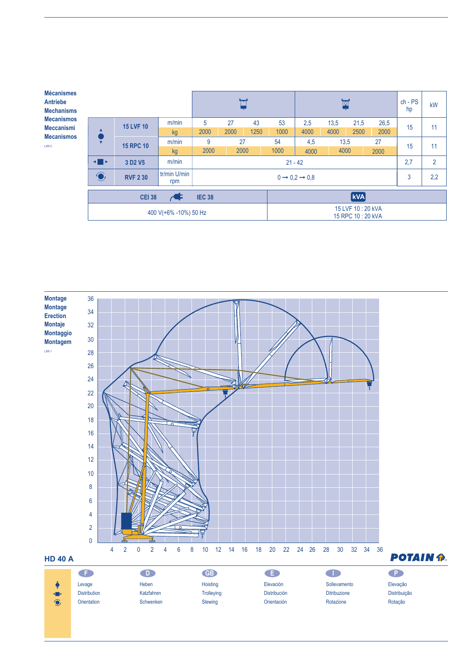| <b>Mécanismes</b><br><b>Antriebe</b><br><b>Mechanisms</b> |                                                                                             |                                 |       | ٣       |                                      |      | $\mathbf{\overline{w}}$ |      |      |      | $ch - PS$<br>hp | kW  |                |
|-----------------------------------------------------------|---------------------------------------------------------------------------------------------|---------------------------------|-------|---------|--------------------------------------|------|-------------------------|------|------|------|-----------------|-----|----------------|
| <b>Mecanismos</b><br><b>Meccanismi</b>                    |                                                                                             | <b>15 LVF 10</b>                | m/min | 5       | 27                                   | 43   | 53                      | 2,5  | 13,5 | 21,5 | 26,5            | 15  | 11             |
| <b>Mecanismos</b>                                         |                                                                                             |                                 | kg    | 2000    | 2000                                 | 1250 | 1000                    | 4000 | 4000 | 2500 | 2000            |     |                |
| LXW <sub>2</sub>                                          | $\overline{\mathbf{v}}$                                                                     | <b>15 RPC 10</b>                | m/min | 27<br>9 |                                      |      | 54                      | 4,5  | 13,5 |      | 27              | 15  | 11             |
|                                                           |                                                                                             |                                 | kg    | 2000    | 2000                                 |      | 1000                    | 4000 | 4000 |      | 2000            |     |                |
|                                                           | $\blacksquare$                                                                              | 3 D <sub>2</sub> V <sub>5</sub> | m/min |         |                                      |      | $21 - 42$               |      |      |      |                 | 2,7 | $\overline{2}$ |
|                                                           | tr/min U/min<br>$\bigodot$<br><b>RVF 2 30</b><br>$0 \rightarrow 0.2 \rightarrow 0.8$<br>rpm |                                 |       |         |                                      |      |                         |      | 3    | 2,2  |                 |     |                |
|                                                           | <b>kVA</b><br>$\overline{\mathcal{A}}$<br><b>CEI 38</b><br><b>IEC 38</b>                    |                                 |       |         |                                      |      |                         |      |      |      |                 |     |                |
|                                                           | 400 V(+6% -10%) 50 Hz                                                                       |                                 |       |         | 15 LVF 10:20 kVA<br>15 RPC 10:20 kVA |      |                         |      |      |      |                 |     |                |